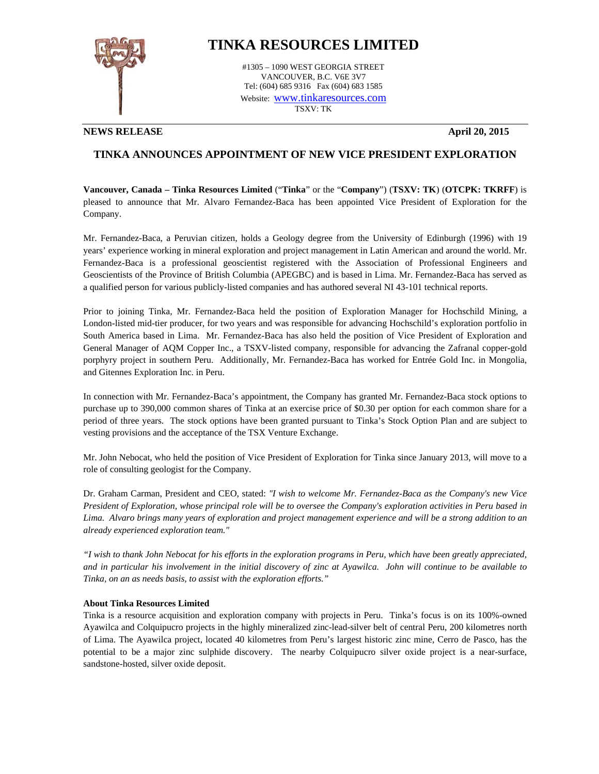

## **TINKA RESOURCES LIMITED**

#1305 – 1090 WEST GEORGIA STREET VANCOUVER, B.C. V6E 3V7 Tel: (604) 685 9316 Fax (604) 683 1585 Website: www.tinkaresources.com TSXV: TK

**NEWS RELEASE April 20, 2015** 

## **TINKA ANNOUNCES APPOINTMENT OF NEW VICE PRESIDENT EXPLORATION**

**Vancouver, Canada – Tinka Resources Limited** ("**Tinka**" or the "**Company**") (**TSXV: TK**) (**OTCPK: TKRFF**) is pleased to announce that Mr. Alvaro Fernandez-Baca has been appointed Vice President of Exploration for the Company.

Mr. Fernandez-Baca, a Peruvian citizen, holds a Geology degree from the University of Edinburgh (1996) with 19 years' experience working in mineral exploration and project management in Latin American and around the world. Mr. Fernandez-Baca is a professional geoscientist registered with the Association of Professional Engineers and Geoscientists of the Province of British Columbia (APEGBC) and is based in Lima. Mr. Fernandez-Baca has served as a qualified person for various publicly-listed companies and has authored several NI 43-101 technical reports.

Prior to joining Tinka, Mr. Fernandez-Baca held the position of Exploration Manager for Hochschild Mining, a London-listed mid-tier producer, for two years and was responsible for advancing Hochschild's exploration portfolio in South America based in Lima. Mr. Fernandez-Baca has also held the position of Vice President of Exploration and General Manager of AQM Copper Inc., a TSXV-listed company, responsible for advancing the Zafranal copper-gold porphyry project in southern Peru. Additionally, Mr. Fernandez-Baca has worked for Entrée Gold Inc. in Mongolia, and Gitennes Exploration Inc. in Peru.

In connection with Mr. Fernandez-Baca's appointment, the Company has granted Mr. Fernandez-Baca stock options to purchase up to 390,000 common shares of Tinka at an exercise price of \$0.30 per option for each common share for a period of three years. The stock options have been granted pursuant to Tinka's Stock Option Plan and are subject to vesting provisions and the acceptance of the TSX Venture Exchange.

Mr. John Nebocat, who held the position of Vice President of Exploration for Tinka since January 2013, will move to a role of consulting geologist for the Company.

Dr. Graham Carman, President and CEO, stated: *"I wish to welcome Mr. Fernandez-Baca as the Company's new Vice President of Exploration, whose principal role will be to oversee the Company's exploration activities in Peru based in Lima. Alvaro brings many years of exploration and project management experience and will be a strong addition to an already experienced exploration team."* 

*"I wish to thank John Nebocat for his efforts in the exploration programs in Peru, which have been greatly appreciated, and in particular his involvement in the initial discovery of zinc at Ayawilca. John will continue to be available to Tinka, on an as needs basis, to assist with the exploration efforts."* 

## **About Tinka Resources Limited**

Tinka is a resource acquisition and exploration company with projects in Peru. Tinka's focus is on its 100%-owned Ayawilca and Colquipucro projects in the highly mineralized zinc-lead-silver belt of central Peru, 200 kilometres north of Lima. The Ayawilca project, located 40 kilometres from Peru's largest historic zinc mine, Cerro de Pasco, has the potential to be a major zinc sulphide discovery. The nearby Colquipucro silver oxide project is a near-surface, sandstone-hosted, silver oxide deposit.